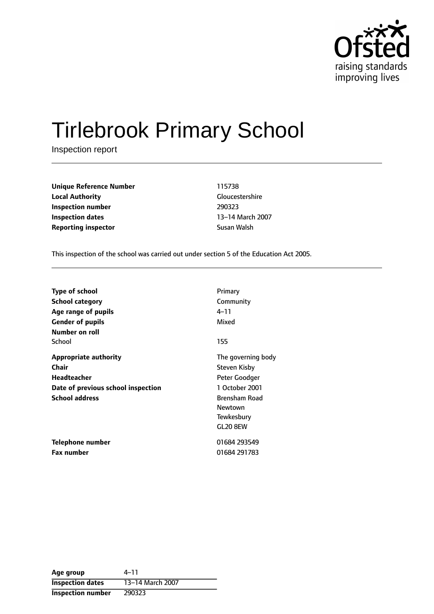

# Tirlebrook Primary School

Inspection report

| <b>Unique Reference Number</b> | 115738       |
|--------------------------------|--------------|
| <b>Local Authority</b>         | Gloucestersh |
| Inspection number              | 290323       |
| Inspection dates               | 13-14 March  |
| <b>Reporting inspector</b>     | Susan Walsh  |

**Gloucestershire** 13-14 March 2007

This inspection of the school was carried out under section 5 of the Education Act 2005.

| <b>Type of school</b>              | Primary              |
|------------------------------------|----------------------|
| School category                    | Community            |
| Age range of pupils                | 4–11                 |
| <b>Gender of pupils</b>            | Mixed                |
| Number on roll                     |                      |
| School                             | 155                  |
| <b>Appropriate authority</b>       | The governing body   |
| Chair                              | Steven Kisby         |
| <b>Headteacher</b>                 | Peter Goodger        |
| Date of previous school inspection | 1 October 2001       |
| <b>School address</b>              | <b>Brensham Road</b> |
|                                    | Newtown              |
|                                    | Tewkesbury           |
|                                    | GL20 8EW             |
| Telephone number                   | 01684 293549         |
| <b>Fax number</b>                  | 01684 291783         |

| Age group                | 4–11             |
|--------------------------|------------------|
| <b>Inspection dates</b>  | 13-14 March 2007 |
| <b>Inspection number</b> | 290323           |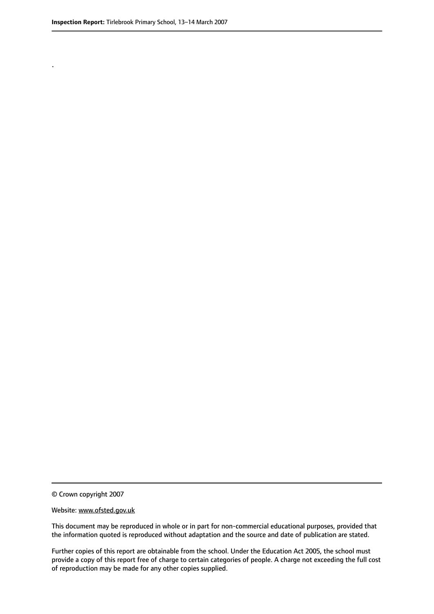.

© Crown copyright 2007

#### Website: www.ofsted.gov.uk

This document may be reproduced in whole or in part for non-commercial educational purposes, provided that the information quoted is reproduced without adaptation and the source and date of publication are stated.

Further copies of this report are obtainable from the school. Under the Education Act 2005, the school must provide a copy of this report free of charge to certain categories of people. A charge not exceeding the full cost of reproduction may be made for any other copies supplied.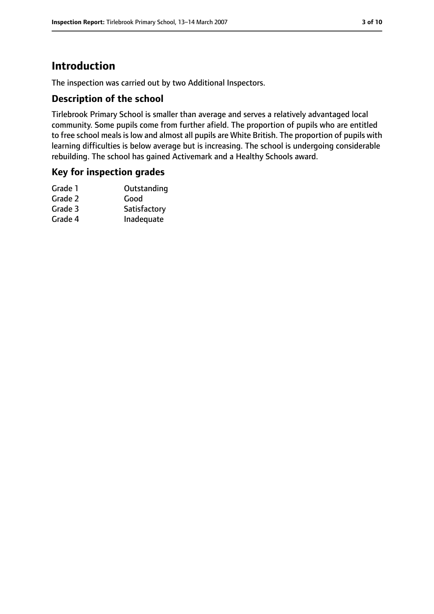## **Introduction**

The inspection was carried out by two Additional Inspectors.

#### **Description of the school**

Tirlebrook Primary School is smaller than average and serves a relatively advantaged local community. Some pupils come from further afield. The proportion of pupils who are entitled to free school meals is low and almost all pupils are White British. The proportion of pupils with learning difficulties is below average but is increasing. The school is undergoing considerable rebuilding. The school has gained Activemark and a Healthy Schools award.

#### **Key for inspection grades**

| Grade 1 | Outstanding  |
|---------|--------------|
| Grade 2 | Good         |
| Grade 3 | Satisfactory |
| Grade 4 | Inadequate   |
|         |              |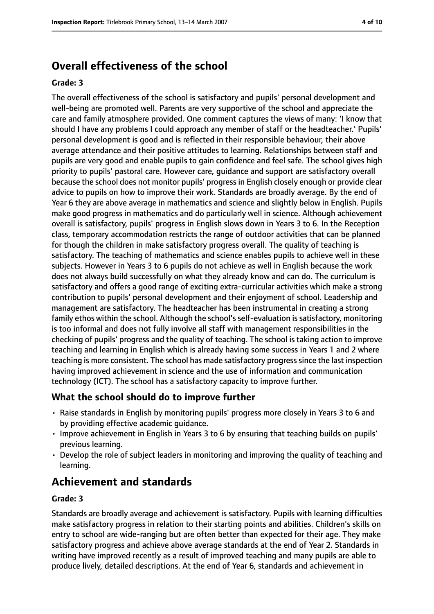# **Overall effectiveness of the school**

#### **Grade: 3**

The overall effectiveness of the school is satisfactory and pupils' personal development and well-being are promoted well. Parents are very supportive of the school and appreciate the care and family atmosphere provided. One comment captures the views of many: 'I know that should I have any problems I could approach any member of staff or the headteacher.' Pupils' personal development is good and is reflected in their responsible behaviour, their above average attendance and their positive attitudes to learning. Relationships between staff and pupils are very good and enable pupils to gain confidence and feel safe. The school gives high priority to pupils' pastoral care. However care, guidance and support are satisfactory overall because the school does not monitor pupils' progress in English closely enough or provide clear advice to pupils on how to improve their work. Standards are broadly average. By the end of Year 6 they are above average in mathematics and science and slightly below in English. Pupils make good progress in mathematics and do particularly well in science. Although achievement overall is satisfactory, pupils' progress in English slows down in Years 3 to 6. In the Reception class, temporary accommodation restricts the range of outdoor activities that can be planned for though the children in make satisfactory progress overall. The quality of teaching is satisfactory. The teaching of mathematics and science enables pupils to achieve well in these subjects. However in Years 3 to 6 pupils do not achieve as well in English because the work does not always build successfully on what they already know and can do. The curriculum is satisfactory and offers a good range of exciting extra-curricular activities which make a strong contribution to pupils' personal development and their enjoyment of school. Leadership and management are satisfactory. The headteacher has been instrumental in creating a strong family ethos within the school. Although the school's self-evaluation is satisfactory, monitoring is too informal and does not fully involve all staff with management responsibilities in the checking of pupils' progress and the quality of teaching. The school is taking action to improve teaching and learning in English which is already having some success in Years 1 and 2 where teaching is more consistent. The school has made satisfactory progresssince the last inspection having improved achievement in science and the use of information and communication technology (ICT). The school has a satisfactory capacity to improve further.

### **What the school should do to improve further**

- Raise standards in English by monitoring pupils' progress more closely in Years 3 to 6 and by providing effective academic guidance.
- Improve achievement in English in Years 3 to 6 by ensuring that teaching builds on pupils' previous learning.
- Develop the role of subject leaders in monitoring and improving the quality of teaching and learning.

## **Achievement and standards**

#### **Grade: 3**

Standards are broadly average and achievement is satisfactory. Pupils with learning difficulties make satisfactory progress in relation to their starting points and abilities. Children's skills on entry to school are wide-ranging but are often better than expected for their age. They make satisfactory progress and achieve above average standards at the end of Year 2. Standards in writing have improved recently as a result of improved teaching and many pupils are able to produce lively, detailed descriptions. At the end of Year 6, standards and achievement in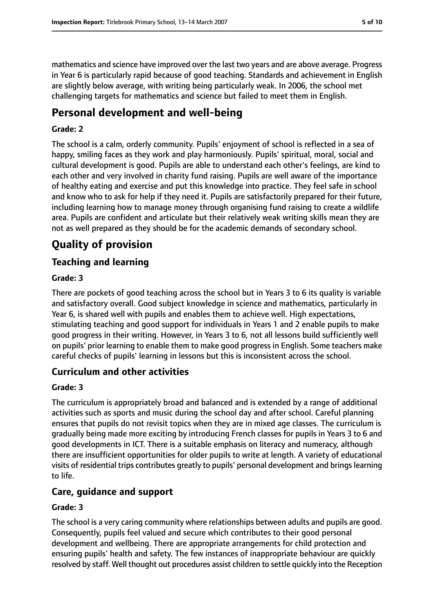mathematics and science have improved over the last two years and are above average. Progress in Year 6 is particularly rapid because of good teaching. Standards and achievement in English are slightly below average, with writing being particularly weak. In 2006, the school met challenging targets for mathematics and science but failed to meet them in English.

## **Personal development and well-being**

#### **Grade: 2**

The school is a calm, orderly community. Pupils' enjoyment of school is reflected in a sea of happy, smiling faces as they work and play harmoniously. Pupils' spiritual, moral, social and cultural development is good. Pupils are able to understand each other's feelings, are kind to each other and very involved in charity fund raising. Pupils are well aware of the importance of healthy eating and exercise and put this knowledge into practice. They feel safe in school and know who to ask for help if they need it. Pupils are satisfactorily prepared for their future, including learning how to manage money through organising fund raising to create a wildlife area. Pupils are confident and articulate but their relatively weak writing skills mean they are not as well prepared as they should be for the academic demands of secondary school.

# **Quality of provision**

## **Teaching and learning**

#### **Grade: 3**

There are pockets of good teaching across the school but in Years 3 to 6 its quality is variable and satisfactory overall. Good subject knowledge in science and mathematics, particularly in Year 6, is shared well with pupils and enables them to achieve well. High expectations, stimulating teaching and good support for individuals in Years 1 and 2 enable pupils to make good progress in their writing. However, in Years 3 to 6, not all lessons build sufficiently well on pupils' prior learning to enable them to make good progress in English. Some teachers make careful checks of pupils' learning in lessons but this is inconsistent across the school.

### **Curriculum and other activities**

#### **Grade: 3**

The curriculum is appropriately broad and balanced and is extended by a range of additional activities such as sports and music during the school day and after school. Careful planning ensures that pupils do not revisit topics when they are in mixed age classes. The curriculum is gradually being made more exciting by introducing French classes for pupils in Years 3 to 6 and good developments in ICT. There is a suitable emphasis on literacy and numeracy, although there are insufficient opportunities for older pupils to write at length. A variety of educational visits of residential trips contributes greatly to pupils' personal development and bringslearning to life.

### **Care, guidance and support**

#### **Grade: 3**

The school is a very caring community where relationships between adults and pupils are good. Consequently, pupils feel valued and secure which contributes to their good personal development and wellbeing. There are appropriate arrangements for child protection and ensuring pupils' health and safety. The few instances of inappropriate behaviour are quickly resolved by staff. Well thought out procedures assist children to settle quickly into the Reception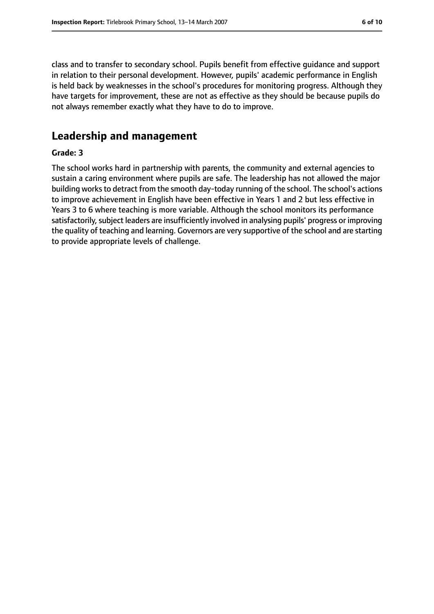class and to transfer to secondary school. Pupils benefit from effective guidance and support in relation to their personal development. However, pupils' academic performance in English is held back by weaknesses in the school's procedures for monitoring progress. Although they have targets for improvement, these are not as effective as they should be because pupils do not always remember exactly what they have to do to improve.

## **Leadership and management**

#### **Grade: 3**

The school works hard in partnership with parents, the community and external agencies to sustain a caring environment where pupils are safe. The leadership has not allowed the major building works to detract from the smooth day-today running of the school. The school's actions to improve achievement in English have been effective in Years 1 and 2 but less effective in Years 3 to 6 where teaching is more variable. Although the school monitors its performance satisfactorily, subject leaders are insufficiently involved in analysing pupils' progress or improving the quality of teaching and learning. Governors are very supportive of the school and are starting to provide appropriate levels of challenge.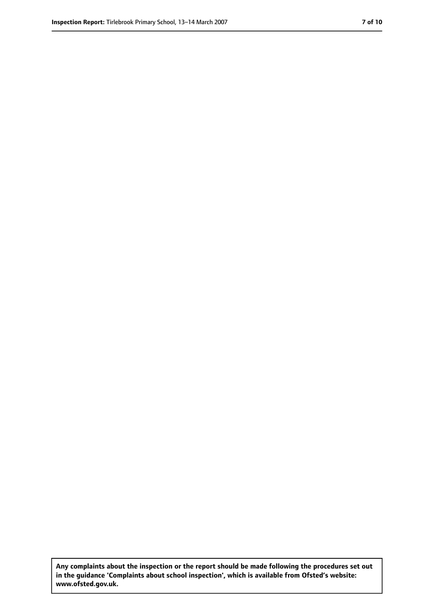**Any complaints about the inspection or the report should be made following the procedures set out in the guidance 'Complaints about school inspection', which is available from Ofsted's website: www.ofsted.gov.uk.**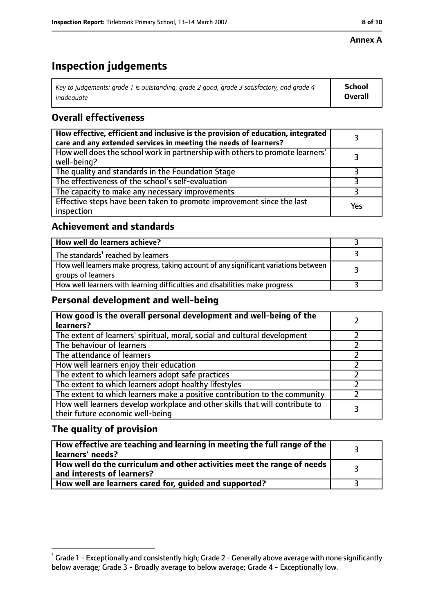#### **Annex A**

# **Inspection judgements**

| Key to judgements: grade 1 is outstanding, grade 2 good, grade 3 satisfactory, and grade 4 | <b>School</b>  |
|--------------------------------------------------------------------------------------------|----------------|
| inadeauate                                                                                 | <b>Overall</b> |

## **Overall effectiveness**

| How effective, efficient and inclusive is the provision of education, integrated<br>care and any extended services in meeting the needs of learners? |     |
|------------------------------------------------------------------------------------------------------------------------------------------------------|-----|
| How well does the school work in partnership with others to promote learners'<br>well-being?                                                         |     |
| The quality and standards in the Foundation Stage                                                                                                    |     |
| The effectiveness of the school's self-evaluation                                                                                                    |     |
| The capacity to make any necessary improvements                                                                                                      |     |
| Effective steps have been taken to promote improvement since the last<br>inspection                                                                  | Yes |

## **Achievement and standards**

| How well do learners achieve?                                                                               |  |
|-------------------------------------------------------------------------------------------------------------|--|
| The standards <sup>1</sup> reached by learners                                                              |  |
| How well learners make progress, taking account of any significant variations between<br>groups of learners |  |
| How well learners with learning difficulties and disabilities make progress                                 |  |

#### **Personal development and well-being**

| How good is the overall personal development and well-being of the<br>learners?                                  |  |
|------------------------------------------------------------------------------------------------------------------|--|
| The extent of learners' spiritual, moral, social and cultural development                                        |  |
| The behaviour of learners                                                                                        |  |
| The attendance of learners                                                                                       |  |
| How well learners enjoy their education                                                                          |  |
| The extent to which learners adopt safe practices                                                                |  |
| The extent to which learners adopt healthy lifestyles                                                            |  |
| The extent to which learners make a positive contribution to the community                                       |  |
| How well learners develop workplace and other skills that will contribute to<br>their future economic well-being |  |

### **The quality of provision**

| How effective are teaching and learning in meeting the full range of the<br>learners' needs?          |  |
|-------------------------------------------------------------------------------------------------------|--|
| How well do the curriculum and other activities meet the range of needs<br>and interests of learners? |  |
| How well are learners cared for, guided and supported?                                                |  |

 $^1$  Grade 1 - Exceptionally and consistently high; Grade 2 - Generally above average with none significantly below average; Grade 3 - Broadly average to below average; Grade 4 - Exceptionally low.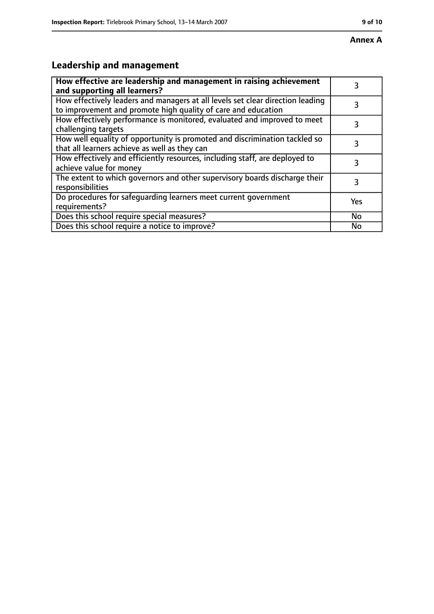# **Leadership and management**

| How effective are leadership and management in raising achievement<br>and supporting all learners?                                              | 3   |
|-------------------------------------------------------------------------------------------------------------------------------------------------|-----|
| How effectively leaders and managers at all levels set clear direction leading<br>to improvement and promote high quality of care and education |     |
| How effectively performance is monitored, evaluated and improved to meet<br>challenging targets                                                 | 3   |
| How well equality of opportunity is promoted and discrimination tackled so<br>that all learners achieve as well as they can                     | 3   |
| How effectively and efficiently resources, including staff, are deployed to<br>achieve value for money                                          | 3   |
| The extent to which governors and other supervisory boards discharge their<br>responsibilities                                                  | 3   |
| Do procedures for safequarding learners meet current government<br>requirements?                                                                | Yes |
| Does this school require special measures?                                                                                                      | No  |
| Does this school require a notice to improve?                                                                                                   | No  |